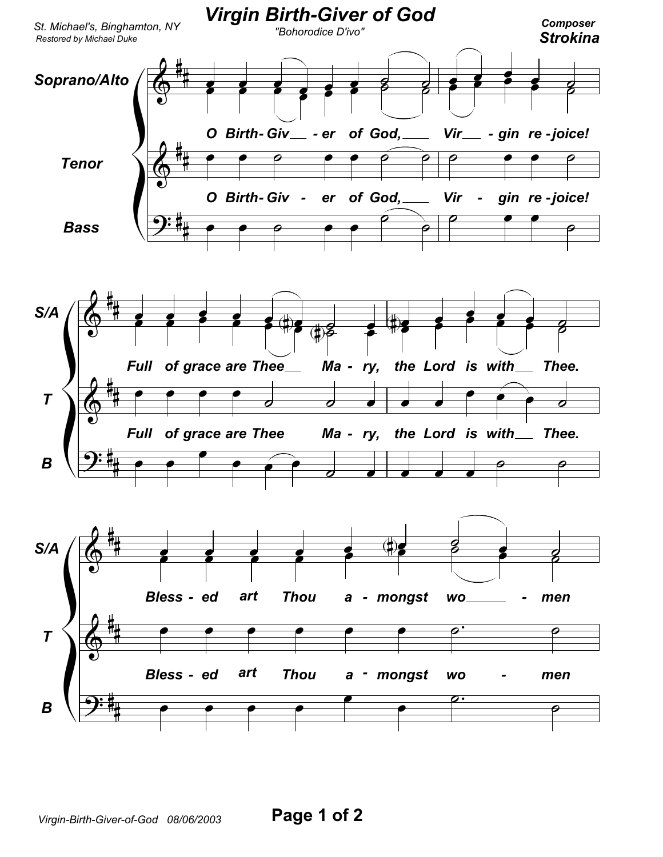